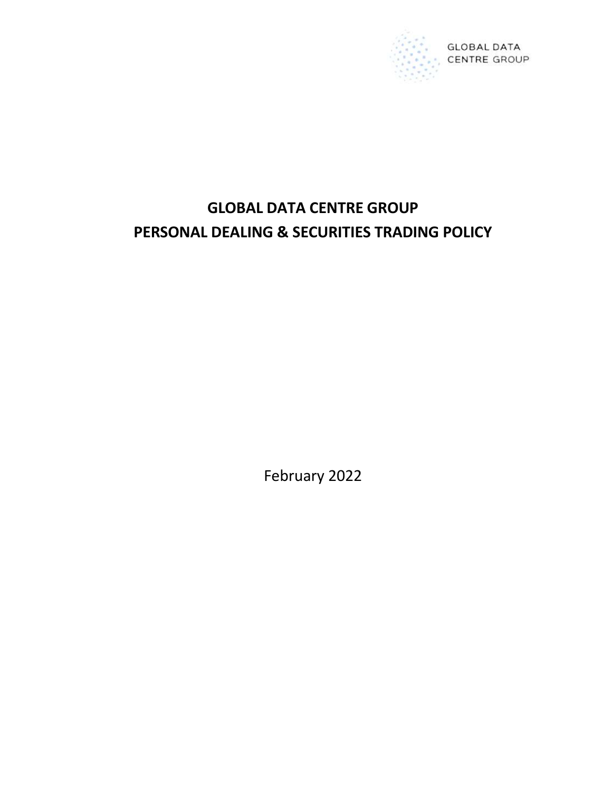

# GLOBAL DATA CENTRE GROUP PERSONAL DEALING & SECURITIES TRADING POLICY

February 2022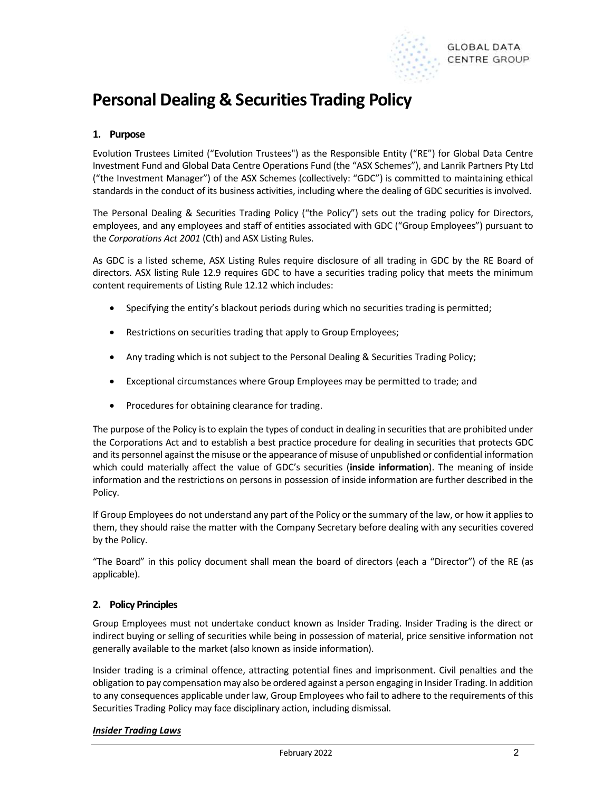

## Personal Dealing & Securities Trading Policy

## 1. Purpose

Evolution Trustees Limited ("Evolution Trustees") as the Responsible Entity ("RE") for Global Data Centre Investment Fund and Global Data Centre Operations Fund (the "ASX Schemes"), and Lanrik Partners Pty Ltd ("the Investment Manager") of the ASX Schemes (collectively: "GDC") is committed to maintaining ethical standards in the conduct of its business activities, including where the dealing of GDC securities is involved.

The Personal Dealing & Securities Trading Policy ("the Policy") sets out the trading policy for Directors, employees, and any employees and staff of entities associated with GDC ("Group Employees") pursuant to the Corporations Act 2001 (Cth) and ASX Listing Rules.

As GDC is a listed scheme, ASX Listing Rules require disclosure of all trading in GDC by the RE Board of directors. ASX listing Rule 12.9 requires GDC to have a securities trading policy that meets the minimum content requirements of Listing Rule 12.12 which includes:

- Specifying the entity's blackout periods during which no securities trading is permitted;
- Restrictions on securities trading that apply to Group Employees;
- Any trading which is not subject to the Personal Dealing & Securities Trading Policy;
- Exceptional circumstances where Group Employees may be permitted to trade; and
- Procedures for obtaining clearance for trading.

The purpose of the Policy is to explain the types of conduct in dealing in securities that are prohibited under the Corporations Act and to establish a best practice procedure for dealing in securities that protects GDC and its personnel against the misuse or the appearance of misuse of unpublished or confidential information which could materially affect the value of GDC's securities (inside information). The meaning of inside information and the restrictions on persons in possession of inside information are further described in the Policy.

If Group Employees do not understand any part of the Policy or the summary of the law, or how it applies to them, they should raise the matter with the Company Secretary before dealing with any securities covered by the Policy.

"The Board" in this policy document shall mean the board of directors (each a "Director") of the RE (as applicable).

## 2. Policy Principles

Group Employees must not undertake conduct known as Insider Trading. Insider Trading is the direct or indirect buying or selling of securities while being in possession of material, price sensitive information not generally available to the market (also known as inside information).

Insider trading is a criminal offence, attracting potential fines and imprisonment. Civil penalties and the obligation to pay compensation may also be ordered against a person engaging in Insider Trading. In addition to any consequences applicable under law, Group Employees who fail to adhere to the requirements of this Securities Trading Policy may face disciplinary action, including dismissal.

## **Insider Trading Laws**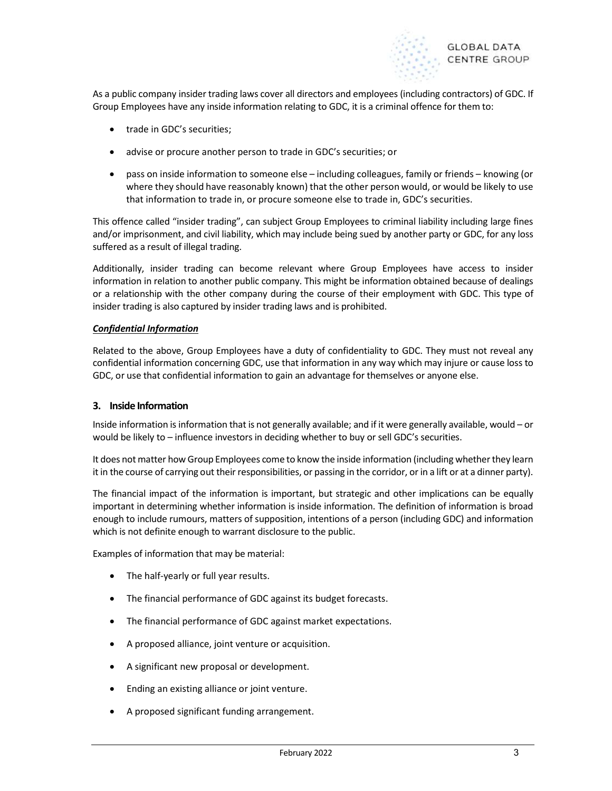

As a public company insider trading laws cover all directors and employees (including contractors) of GDC. If Group Employees have any inside information relating to GDC, it is a criminal offence for them to:

- trade in GDC's securities;
- advise or procure another person to trade in GDC's securities; or
- pass on inside information to someone else including colleagues, family or friends knowing (or where they should have reasonably known) that the other person would, or would be likely to use that information to trade in, or procure someone else to trade in, GDC's securities.

This offence called "insider trading", can subject Group Employees to criminal liability including large fines and/or imprisonment, and civil liability, which may include being sued by another party or GDC, for any loss suffered as a result of illegal trading.

Additionally, insider trading can become relevant where Group Employees have access to insider information in relation to another public company. This might be information obtained because of dealings or a relationship with the other company during the course of their employment with GDC. This type of insider trading is also captured by insider trading laws and is prohibited.

#### Confidential Information

Related to the above, Group Employees have a duty of confidentiality to GDC. They must not reveal any confidential information concerning GDC, use that information in any way which may injure or cause loss to GDC, or use that confidential information to gain an advantage for themselves or anyone else.

## 3. Inside Information

Inside information is information that is not generally available; and if it were generally available, would – or would be likely to – influence investors in deciding whether to buy or sell GDC's securities.

It does not matter how Group Employees come to know the inside information (including whether they learn it in the course of carrying out their responsibilities, or passing in the corridor, or in a lift or at a dinner party).

The financial impact of the information is important, but strategic and other implications can be equally important in determining whether information is inside information. The definition of information is broad enough to include rumours, matters of supposition, intentions of a person (including GDC) and information which is not definite enough to warrant disclosure to the public.

Examples of information that may be material:

- The half-yearly or full year results.
- The financial performance of GDC against its budget forecasts.
- The financial performance of GDC against market expectations.
- A proposed alliance, joint venture or acquisition.
- A significant new proposal or development.
- Ending an existing alliance or joint venture.
- A proposed significant funding arrangement.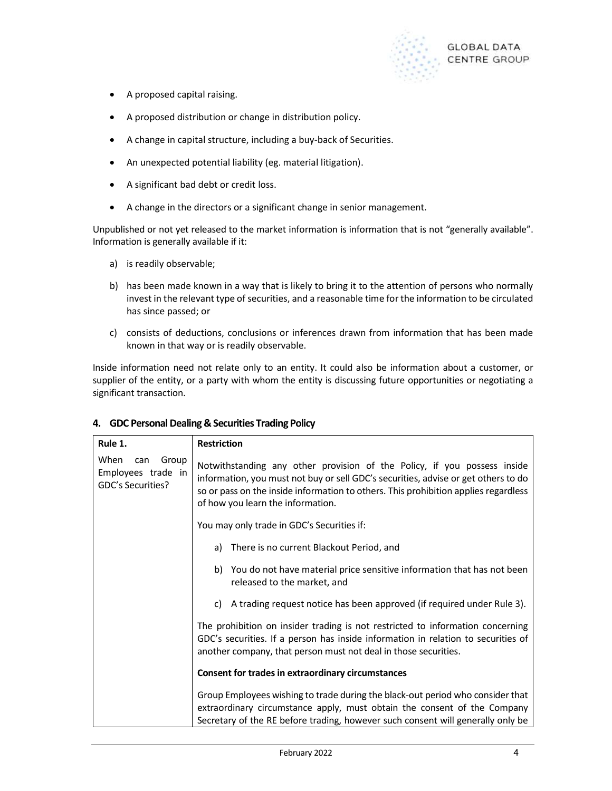

- A proposed capital raising.
- A proposed distribution or change in distribution policy.
- A change in capital structure, including a buy-back of Securities.
- An unexpected potential liability (eg. material litigation).
- A significant bad debt or credit loss.
- A change in the directors or a significant change in senior management.

Unpublished or not yet released to the market information is information that is not "generally available". Information is generally available if it:

- a) is readily observable;
- b) has been made known in a way that is likely to bring it to the attention of persons who normally invest in the relevant type of securities, and a reasonable time for the information to be circulated has since passed; or
- c) consists of deductions, conclusions or inferences drawn from information that has been made known in that way or is readily observable.

Inside information need not relate only to an entity. It could also be information about a customer, or supplier of the entity, or a party with whom the entity is discussing future opportunities or negotiating a significant transaction.

| Rule 1.                                                         | <b>Restriction</b>                                                                                                                                                                                                                                                                         |
|-----------------------------------------------------------------|--------------------------------------------------------------------------------------------------------------------------------------------------------------------------------------------------------------------------------------------------------------------------------------------|
| When<br>Group<br>can<br>Employees trade in<br>GDC's Securities? | Notwithstanding any other provision of the Policy, if you possess inside<br>information, you must not buy or sell GDC's securities, advise or get others to do<br>so or pass on the inside information to others. This prohibition applies regardless<br>of how you learn the information. |
|                                                                 | You may only trade in GDC's Securities if:                                                                                                                                                                                                                                                 |
|                                                                 | a) There is no current Blackout Period, and                                                                                                                                                                                                                                                |
|                                                                 | b) You do not have material price sensitive information that has not been<br>released to the market, and                                                                                                                                                                                   |
|                                                                 | c) A trading request notice has been approved (if required under Rule 3).                                                                                                                                                                                                                  |
|                                                                 | The prohibition on insider trading is not restricted to information concerning<br>GDC's securities. If a person has inside information in relation to securities of<br>another company, that person must not deal in those securities.                                                     |
|                                                                 | <b>Consent for trades in extraordinary circumstances</b>                                                                                                                                                                                                                                   |
|                                                                 | Group Employees wishing to trade during the black-out period who consider that<br>extraordinary circumstance apply, must obtain the consent of the Company<br>Secretary of the RE before trading, however such consent will generally only be                                              |

## 4. GDC Personal Dealing & Securities Trading Policy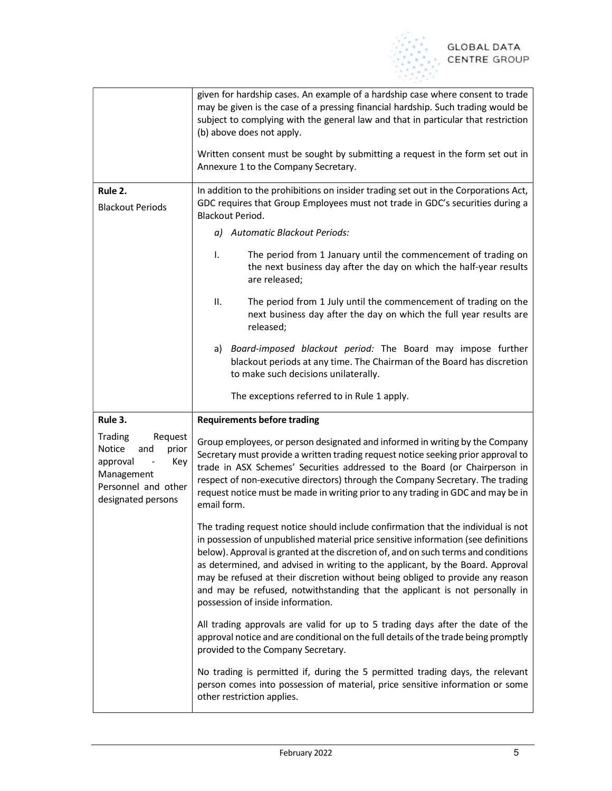

|                                                                                                                            | given for hardship cases. An example of a hardship case where consent to trade<br>may be given is the case of a pressing financial hardship. Such trading would be<br>subject to complying with the general law and that in particular that restriction<br>(b) above does not apply.<br>Written consent must be sought by submitting a request in the form set out in                                                                                                                                                                                 |  |
|----------------------------------------------------------------------------------------------------------------------------|-------------------------------------------------------------------------------------------------------------------------------------------------------------------------------------------------------------------------------------------------------------------------------------------------------------------------------------------------------------------------------------------------------------------------------------------------------------------------------------------------------------------------------------------------------|--|
|                                                                                                                            | Annexure 1 to the Company Secretary.                                                                                                                                                                                                                                                                                                                                                                                                                                                                                                                  |  |
| Rule 2.<br><b>Blackout Periods</b>                                                                                         | In addition to the prohibitions on insider trading set out in the Corporations Act,<br>GDC requires that Group Employees must not trade in GDC's securities during a<br>Blackout Period.                                                                                                                                                                                                                                                                                                                                                              |  |
|                                                                                                                            | a) Automatic Blackout Periods:                                                                                                                                                                                                                                                                                                                                                                                                                                                                                                                        |  |
|                                                                                                                            | L.<br>The period from 1 January until the commencement of trading on<br>the next business day after the day on which the half-year results<br>are released;                                                                                                                                                                                                                                                                                                                                                                                           |  |
|                                                                                                                            | ΙΙ.<br>The period from 1 July until the commencement of trading on the<br>next business day after the day on which the full year results are<br>released;                                                                                                                                                                                                                                                                                                                                                                                             |  |
|                                                                                                                            | a) Board-imposed blackout period: The Board may impose further<br>blackout periods at any time. The Chairman of the Board has discretion<br>to make such decisions unilaterally.                                                                                                                                                                                                                                                                                                                                                                      |  |
|                                                                                                                            | The exceptions referred to in Rule 1 apply.                                                                                                                                                                                                                                                                                                                                                                                                                                                                                                           |  |
| Rule 3.                                                                                                                    | <b>Requirements before trading</b>                                                                                                                                                                                                                                                                                                                                                                                                                                                                                                                    |  |
| Trading<br>Request<br>Notice<br>and<br>prior<br>approval<br>Key<br>Management<br>Personnel and other<br>designated persons | Group employees, or person designated and informed in writing by the Company<br>Secretary must provide a written trading request notice seeking prior approval to<br>trade in ASX Schemes' Securities addressed to the Board (or Chairperson in<br>respect of non-executive directors) through the Company Secretary. The trading<br>request notice must be made in writing prior to any trading in GDC and may be in<br>email form.                                                                                                                  |  |
|                                                                                                                            | The trading request notice should include confirmation that the individual is not<br>in possession of unpublished material price sensitive information (see definitions<br>below). Approval is granted at the discretion of, and on such terms and conditions<br>as determined, and advised in writing to the applicant, by the Board. Approval<br>may be refused at their discretion without being obliged to provide any reason<br>and may be refused, notwithstanding that the applicant is not personally in<br>possession of inside information. |  |
|                                                                                                                            | All trading approvals are valid for up to 5 trading days after the date of the<br>approval notice and are conditional on the full details of the trade being promptly<br>provided to the Company Secretary.                                                                                                                                                                                                                                                                                                                                           |  |
|                                                                                                                            | No trading is permitted if, during the 5 permitted trading days, the relevant<br>person comes into possession of material, price sensitive information or some<br>other restriction applies.                                                                                                                                                                                                                                                                                                                                                          |  |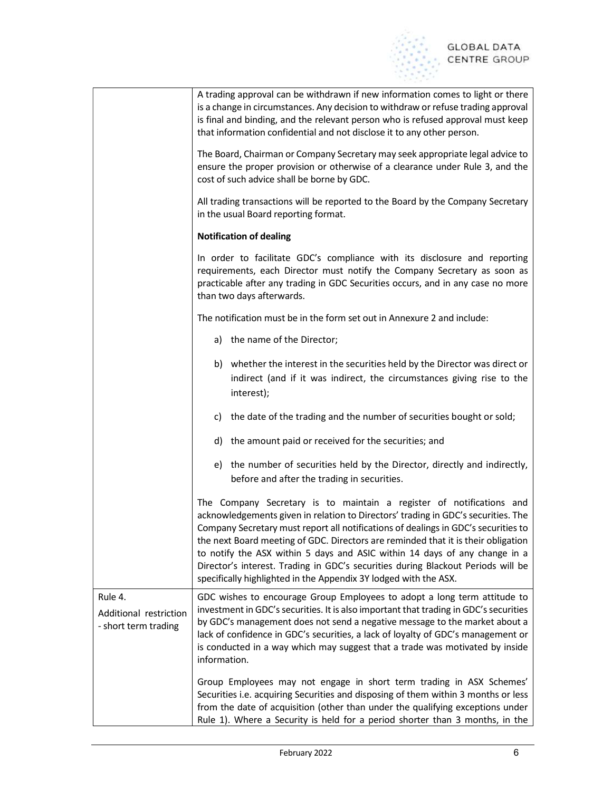

|                                                           | A trading approval can be withdrawn if new information comes to light or there<br>is a change in circumstances. Any decision to withdraw or refuse trading approval<br>is final and binding, and the relevant person who is refused approval must keep<br>that information confidential and not disclose it to any other person.                                                                                                                                                                                                                                           |  |  |
|-----------------------------------------------------------|----------------------------------------------------------------------------------------------------------------------------------------------------------------------------------------------------------------------------------------------------------------------------------------------------------------------------------------------------------------------------------------------------------------------------------------------------------------------------------------------------------------------------------------------------------------------------|--|--|
|                                                           | The Board, Chairman or Company Secretary may seek appropriate legal advice to<br>ensure the proper provision or otherwise of a clearance under Rule 3, and the<br>cost of such advice shall be borne by GDC.                                                                                                                                                                                                                                                                                                                                                               |  |  |
|                                                           | All trading transactions will be reported to the Board by the Company Secretary<br>in the usual Board reporting format.<br><b>Notification of dealing</b><br>In order to facilitate GDC's compliance with its disclosure and reporting<br>requirements, each Director must notify the Company Secretary as soon as<br>practicable after any trading in GDC Securities occurs, and in any case no more<br>than two days afterwards.                                                                                                                                         |  |  |
|                                                           |                                                                                                                                                                                                                                                                                                                                                                                                                                                                                                                                                                            |  |  |
|                                                           |                                                                                                                                                                                                                                                                                                                                                                                                                                                                                                                                                                            |  |  |
|                                                           | The notification must be in the form set out in Annexure 2 and include:                                                                                                                                                                                                                                                                                                                                                                                                                                                                                                    |  |  |
|                                                           | a) the name of the Director;                                                                                                                                                                                                                                                                                                                                                                                                                                                                                                                                               |  |  |
|                                                           | b) whether the interest in the securities held by the Director was direct or<br>indirect (and if it was indirect, the circumstances giving rise to the<br>interest);                                                                                                                                                                                                                                                                                                                                                                                                       |  |  |
|                                                           | c) the date of the trading and the number of securities bought or sold;                                                                                                                                                                                                                                                                                                                                                                                                                                                                                                    |  |  |
|                                                           | d) the amount paid or received for the securities; and                                                                                                                                                                                                                                                                                                                                                                                                                                                                                                                     |  |  |
|                                                           | e) the number of securities held by the Director, directly and indirectly,<br>before and after the trading in securities.                                                                                                                                                                                                                                                                                                                                                                                                                                                  |  |  |
|                                                           | The Company Secretary is to maintain a register of notifications and<br>acknowledgements given in relation to Directors' trading in GDC's securities. The<br>Company Secretary must report all notifications of dealings in GDC's securities to<br>the next Board meeting of GDC. Directors are reminded that it is their obligation<br>to notify the ASX within 5 days and ASIC within 14 days of any change in a<br>Director's interest. Trading in GDC's securities during Blackout Periods will be<br>specifically highlighted in the Appendix 3Y lodged with the ASX. |  |  |
| Rule 4.<br>Additional restriction<br>- short term trading | GDC wishes to encourage Group Employees to adopt a long term attitude to<br>investment in GDC's securities. It is also important that trading in GDC's securities<br>by GDC's management does not send a negative message to the market about a<br>lack of confidence in GDC's securities, a lack of loyalty of GDC's management or<br>is conducted in a way which may suggest that a trade was motivated by inside<br>information.                                                                                                                                        |  |  |
|                                                           | Group Employees may not engage in short term trading in ASX Schemes'<br>Securities i.e. acquiring Securities and disposing of them within 3 months or less<br>from the date of acquisition (other than under the qualifying exceptions under<br>Rule 1). Where a Security is held for a period shorter than 3 months, in the                                                                                                                                                                                                                                               |  |  |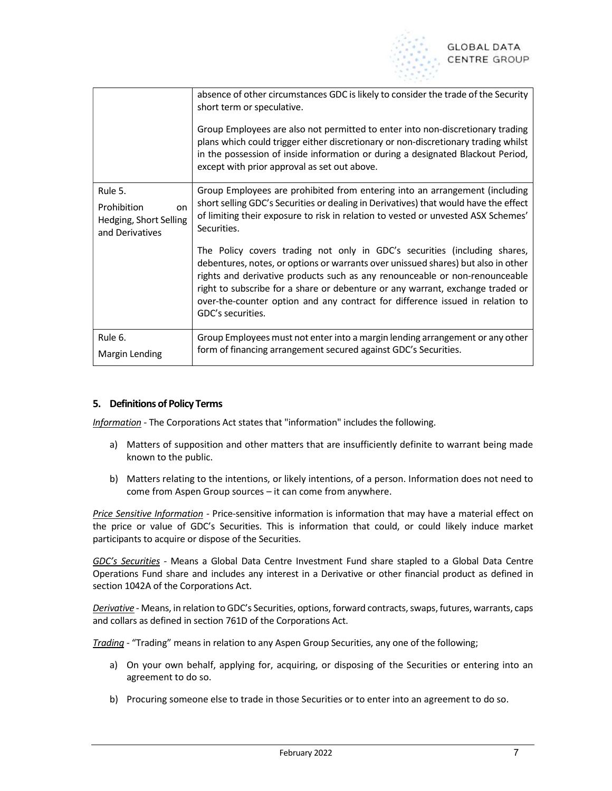

|                                                                           | absence of other circumstances GDC is likely to consider the trade of the Security<br>short term or speculative.<br>Group Employees are also not permitted to enter into non-discretionary trading<br>plans which could trigger either discretionary or non-discretionary trading whilst<br>in the possession of inside information or during a designated Blackout Period,<br>except with prior approval as set out above.           |
|---------------------------------------------------------------------------|---------------------------------------------------------------------------------------------------------------------------------------------------------------------------------------------------------------------------------------------------------------------------------------------------------------------------------------------------------------------------------------------------------------------------------------|
| Rule 5.<br>Prohibition<br>on<br>Hedging, Short Selling<br>and Derivatives | Group Employees are prohibited from entering into an arrangement (including<br>short selling GDC's Securities or dealing in Derivatives) that would have the effect<br>of limiting their exposure to risk in relation to vested or unvested ASX Schemes'<br>Securities.                                                                                                                                                               |
|                                                                           | The Policy covers trading not only in GDC's securities (including shares,<br>debentures, notes, or options or warrants over unissued shares) but also in other<br>rights and derivative products such as any renounceable or non-renounceable<br>right to subscribe for a share or debenture or any warrant, exchange traded or<br>over-the-counter option and any contract for difference issued in relation to<br>GDC's securities. |
| Rule 6.<br>Margin Lending                                                 | Group Employees must not enter into a margin lending arrangement or any other<br>form of financing arrangement secured against GDC's Securities.                                                                                                                                                                                                                                                                                      |

## 5. Definitions of Policy Terms

Information - The Corporations Act states that "information" includes the following.

- a) Matters of supposition and other matters that are insufficiently definite to warrant being made known to the public.
- b) Matters relating to the intentions, or likely intentions, of a person. Information does not need to come from Aspen Group sources – it can come from anywhere.

Price Sensitive Information - Price-sensitive information is information that may have a material effect on the price or value of GDC's Securities. This is information that could, or could likely induce market participants to acquire or dispose of the Securities.

GDC's Securities - Means a Global Data Centre Investment Fund share stapled to a Global Data Centre Operations Fund share and includes any interest in a Derivative or other financial product as defined in section 1042A of the Corporations Act.

Derivative - Means, in relation to GDC's Securities, options, forward contracts, swaps, futures, warrants, caps and collars as defined in section 761D of the Corporations Act.

Trading - "Trading" means in relation to any Aspen Group Securities, any one of the following;

- a) On your own behalf, applying for, acquiring, or disposing of the Securities or entering into an agreement to do so.
- b) Procuring someone else to trade in those Securities or to enter into an agreement to do so.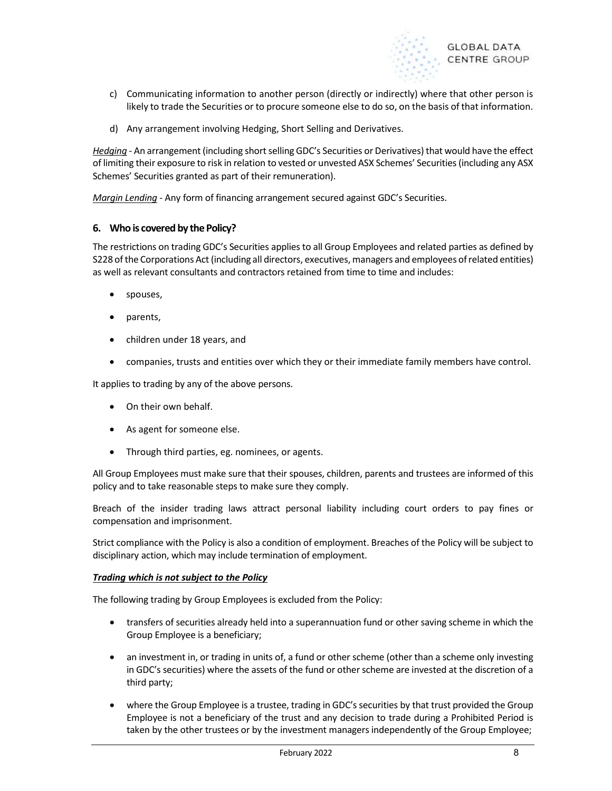

- c) Communicating information to another person (directly or indirectly) where that other person is likely to trade the Securities or to procure someone else to do so, on the basis of that information.
- d) Any arrangement involving Hedging, Short Selling and Derivatives.

Hedging - An arrangement (including short selling GDC's Securities or Derivatives) that would have the effect of limiting their exposure to risk in relation to vested or unvested ASX Schemes' Securities (including any ASX Schemes' Securities granted as part of their remuneration).

Margin Lending - Any form of financing arrangement secured against GDC's Securities.

## 6. Who is covered by the Policy?

The restrictions on trading GDC's Securities applies to all Group Employees and related parties as defined by S228 of the Corporations Act (including all directors, executives, managers and employees of related entities) as well as relevant consultants and contractors retained from time to time and includes:

- spouses,
- parents,
- children under 18 years, and
- companies, trusts and entities over which they or their immediate family members have control.

It applies to trading by any of the above persons.

- On their own behalf.
- As agent for someone else.
- Through third parties, eg. nominees, or agents.

All Group Employees must make sure that their spouses, children, parents and trustees are informed of this policy and to take reasonable steps to make sure they comply.

Breach of the insider trading laws attract personal liability including court orders to pay fines or compensation and imprisonment.

Strict compliance with the Policy is also a condition of employment. Breaches of the Policy will be subject to disciplinary action, which may include termination of employment.

#### Trading which is not subject to the Policy

The following trading by Group Employees is excluded from the Policy:

- transfers of securities already held into a superannuation fund or other saving scheme in which the Group Employee is a beneficiary;
- an investment in, or trading in units of, a fund or other scheme (other than a scheme only investing in GDC's securities) where the assets of the fund or other scheme are invested at the discretion of a third party;
- where the Group Employee is a trustee, trading in GDC's securities by that trust provided the Group Employee is not a beneficiary of the trust and any decision to trade during a Prohibited Period is taken by the other trustees or by the investment managers independently of the Group Employee;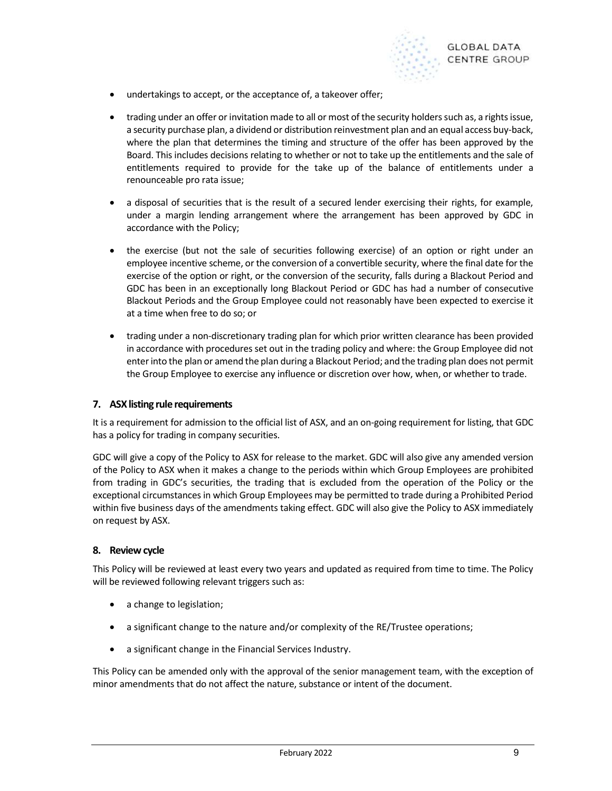

- undertakings to accept, or the acceptance of, a takeover offer;
- trading under an offer or invitation made to all or most of the security holders such as, a rights issue, a security purchase plan, a dividend or distribution reinvestment plan and an equal access buy-back, where the plan that determines the timing and structure of the offer has been approved by the Board. This includes decisions relating to whether or not to take up the entitlements and the sale of entitlements required to provide for the take up of the balance of entitlements under a renounceable pro rata issue;
- a disposal of securities that is the result of a secured lender exercising their rights, for example, under a margin lending arrangement where the arrangement has been approved by GDC in accordance with the Policy;
- the exercise (but not the sale of securities following exercise) of an option or right under an employee incentive scheme, or the conversion of a convertible security, where the final date for the exercise of the option or right, or the conversion of the security, falls during a Blackout Period and GDC has been in an exceptionally long Blackout Period or GDC has had a number of consecutive Blackout Periods and the Group Employee could not reasonably have been expected to exercise it at a time when free to do so; or
- trading under a non-discretionary trading plan for which prior written clearance has been provided in accordance with procedures set out in the trading policy and where: the Group Employee did not enter into the plan or amend the plan during a Blackout Period; and the trading plan does not permit the Group Employee to exercise any influence or discretion over how, when, or whether to trade.

## 7. ASX listing rule requirements

It is a requirement for admission to the official list of ASX, and an on-going requirement for listing, that GDC has a policy for trading in company securities.

GDC will give a copy of the Policy to ASX for release to the market. GDC will also give any amended version of the Policy to ASX when it makes a change to the periods within which Group Employees are prohibited from trading in GDC's securities, the trading that is excluded from the operation of the Policy or the exceptional circumstances in which Group Employees may be permitted to trade during a Prohibited Period within five business days of the amendments taking effect. GDC will also give the Policy to ASX immediately on request by ASX.

## 8. Review cycle

This Policy will be reviewed at least every two years and updated as required from time to time. The Policy will be reviewed following relevant triggers such as:

- a change to legislation;
- a significant change to the nature and/or complexity of the RE/Trustee operations;
- a significant change in the Financial Services Industry.

This Policy can be amended only with the approval of the senior management team, with the exception of minor amendments that do not affect the nature, substance or intent of the document.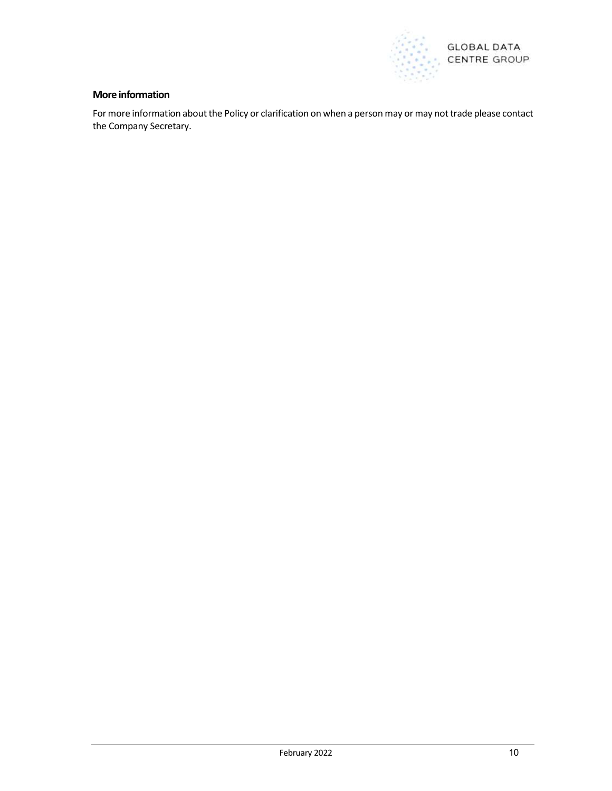

## More information

For more information about the Policy or clarification on when a person may or may not trade please contact the Company Secretary.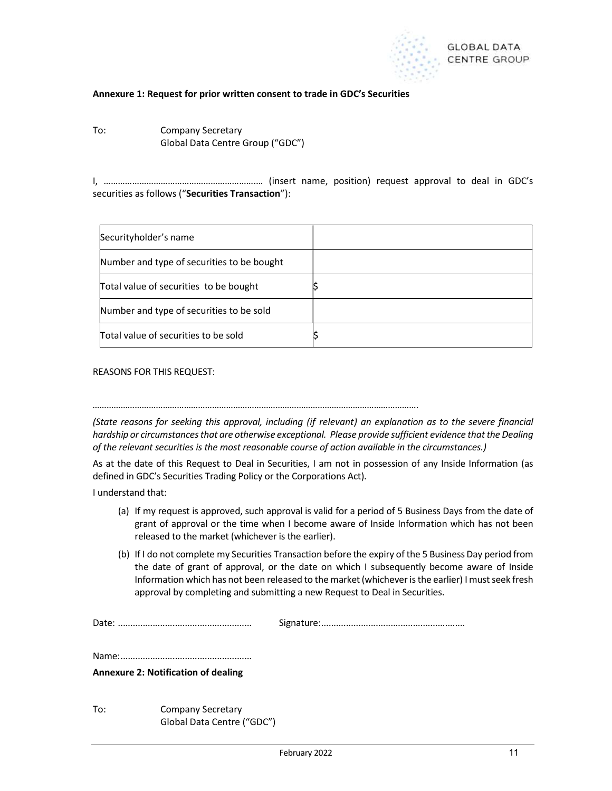

#### Annexure 1: Request for prior written consent to trade in GDC's Securities

To: Company Secretary Global Data Centre Group ("GDC")

I, ……………………………………………………….… (insert name, position) request approval to deal in GDC's securities as follows ("Securities Transaction"):

| Securityholder's name                      |  |
|--------------------------------------------|--|
| Number and type of securities to be bought |  |
| Total value of securities to be bought     |  |
| Number and type of securities to be sold   |  |
| Total value of securities to be sold       |  |

REASONS FOR THIS REQUEST:

(State reasons for seeking this approval, including (if relevant) an explanation as to the severe financial hardship or circumstances that are otherwise exceptional. Please provide sufficient evidence that the Dealing of the relevant securities is the most reasonable course of action available in the circumstances.)

………………………………………………………………………………………………………………………….

As at the date of this Request to Deal in Securities, I am not in possession of any Inside Information (as defined in GDC's Securities Trading Policy or the Corporations Act).

I understand that:

- (a) If my request is approved, such approval is valid for a period of 5 Business Days from the date of grant of approval or the time when I become aware of Inside Information which has not been released to the market (whichever is the earlier).
- (b) If I do not complete my Securities Transaction before the expiry of the 5 Business Day period from the date of grant of approval, or the date on which I subsequently become aware of Inside Information which has not been released to the market (whichever is the earlier) I must seek fresh approval by completing and submitting a new Request to Deal in Securities.

Date: ...................................................... Signature: ..........................................................

Name: .....................................................

#### Annexure 2: Notification of dealing

To: Company Secretary Global Data Centre ("GDC")